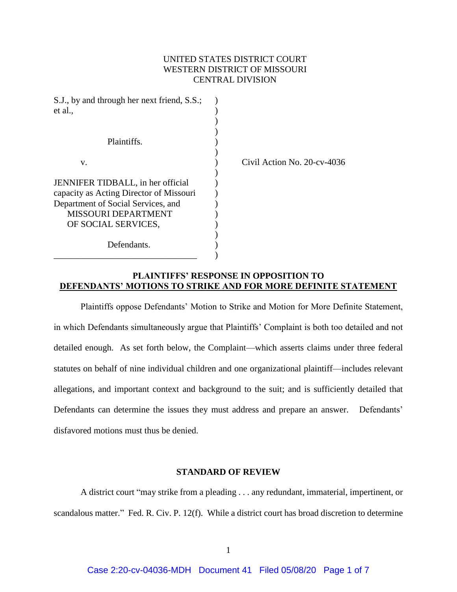## UNITED STATES DISTRICT COURT WESTERN DISTRICT OF MISSOURI CENTRAL DIVISION

| S.J., by and through her next friend, S.S.; |                             |
|---------------------------------------------|-----------------------------|
| et al.,                                     |                             |
|                                             |                             |
|                                             |                             |
| Plaintiffs.                                 |                             |
|                                             |                             |
| V.                                          | Civil Action No. 20-cv-4036 |
|                                             |                             |
| JENNIFER TIDBALL, in her official           |                             |
| capacity as Acting Director of Missouri     |                             |
| Department of Social Services, and          |                             |
| MISSOURI DEPARTMENT                         |                             |
| OF SOCIAL SERVICES,                         |                             |
|                                             |                             |
| Defendants.                                 |                             |
|                                             |                             |

# **PLAINTIFFS' RESPONSE IN OPPOSITION TO DEFENDANTS' MOTIONS TO STRIKE AND FOR MORE DEFINITE STATEMENT**

Plaintiffs oppose Defendants' Motion to Strike and Motion for More Definite Statement, in which Defendants simultaneously argue that Plaintiffs' Complaint is both too detailed and not detailed enough. As set forth below, the Complaint—which asserts claims under three federal statutes on behalf of nine individual children and one organizational plaintiff—includes relevant allegations, and important context and background to the suit; and is sufficiently detailed that Defendants can determine the issues they must address and prepare an answer. Defendants' disfavored motions must thus be denied.

#### **STANDARD OF REVIEW**

A district court "may strike from a pleading . . . any redundant, immaterial, impertinent, or scandalous matter." Fed. R. Civ. P. 12(f). While a district court has broad discretion to determine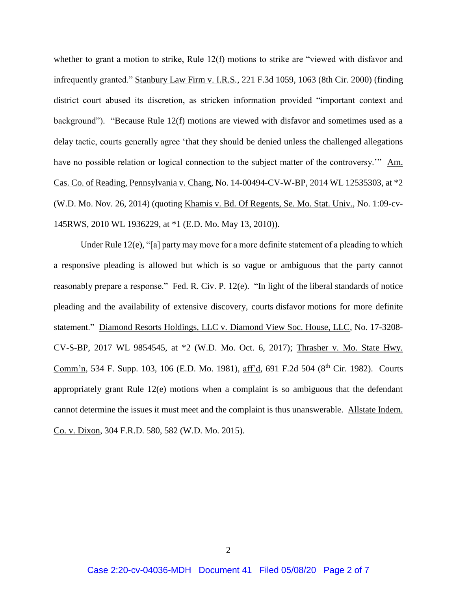whether to grant a motion to strike, Rule 12(f) motions to strike are "viewed with disfavor and infrequently granted." Stanbury Law Firm v. I.R.S*.*, 221 F.3d 1059, 1063 (8th Cir. 2000) (finding district court abused its discretion, as stricken information provided "important context and background"). "Because Rule 12(f) motions are viewed with disfavor and sometimes used as a delay tactic, courts generally agree 'that they should be denied unless the challenged allegations have no possible relation or logical connection to the subject matter of the controversy.'" Am. Cas. Co. of Reading, Pennsylvania v. Chang, No. 14-00494-CV-W-BP, 2014 WL 12535303, at \*2 (W.D. Mo. Nov. 26, 2014) (quoting Khamis v. Bd. Of Regents, Se. Mo. Stat. Univ., No. 1:09-cv-145RWS, 2010 WL 1936229, at \*1 (E.D. Mo. May 13, 2010)).

Under Rule 12(e), "[a] party may move for a more definite statement of a pleading to which a responsive pleading is allowed but which is so vague or ambiguous that the party cannot reasonably prepare a response." Fed. R. Civ. P. 12(e). "In light of the liberal standards of notice pleading and the availability of extensive discovery, courts disfavor motions for more definite statement." Diamond Resorts Holdings, LLC v. Diamond View Soc. House, LLC, No. 17-3208- CV-S-BP, 2017 WL 9854545, at \*2 (W.D. Mo. Oct. 6, 2017); Thrasher v. Mo. State Hwy. Comm'n, 534 F. Supp. 103, 106 (E.D. Mo. 1981), aff'd, 691 F.2d 504 (8<sup>th</sup> Cir. 1982). Courts appropriately grant Rule 12(e) motions when a complaint is so ambiguous that the defendant cannot determine the issues it must meet and the complaint is thus unanswerable. Allstate Indem. Co. v. Dixon, 304 F.R.D. 580, 582 (W.D. Mo. 2015).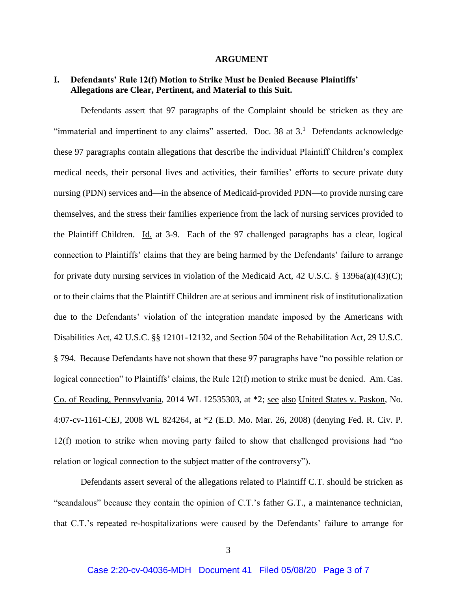#### **ARGUMENT**

### **I. Defendants' Rule 12(f) Motion to Strike Must be Denied Because Plaintiffs' Allegations are Clear, Pertinent, and Material to this Suit.**

Defendants assert that 97 paragraphs of the Complaint should be stricken as they are "immaterial and impertinent to any claims" asserted. Doc. 38 at  $3<sup>1</sup>$  Defendants acknowledge these 97 paragraphs contain allegations that describe the individual Plaintiff Children's complex medical needs, their personal lives and activities, their families' efforts to secure private duty nursing (PDN) services and—in the absence of Medicaid-provided PDN—to provide nursing care themselves, and the stress their families experience from the lack of nursing services provided to the Plaintiff Children. Id. at 3-9. Each of the 97 challenged paragraphs has a clear, logical connection to Plaintiffs' claims that they are being harmed by the Defendants' failure to arrange for private duty nursing services in violation of the Medicaid Act, 42 U.S.C. § 1396a(a)(43)(C); or to their claims that the Plaintiff Children are at serious and imminent risk of institutionalization due to the Defendants' violation of the integration mandate imposed by the Americans with Disabilities Act, 42 U.S.C. §§ 12101-12132, and Section 504 of the Rehabilitation Act, 29 U.S.C. § 794. Because Defendants have not shown that these 97 paragraphs have "no possible relation or logical connection" to Plaintiffs' claims, the Rule 12(f) motion to strike must be denied. Am. Cas. Co. of Reading, Pennsylvania, 2014 WL 12535303, at \*2; see also United States v. Paskon, No. 4:07-cv-1161-CEJ, 2008 WL 824264, at \*2 (E.D. Mo. Mar. 26, 2008) (denying Fed. R. Civ. P. 12(f) motion to strike when moving party failed to show that challenged provisions had "no relation or logical connection to the subject matter of the controversy").

Defendants assert several of the allegations related to Plaintiff C.T. should be stricken as "scandalous" because they contain the opinion of C.T.'s father G.T., a maintenance technician, that C.T.'s repeated re-hospitalizations were caused by the Defendants' failure to arrange for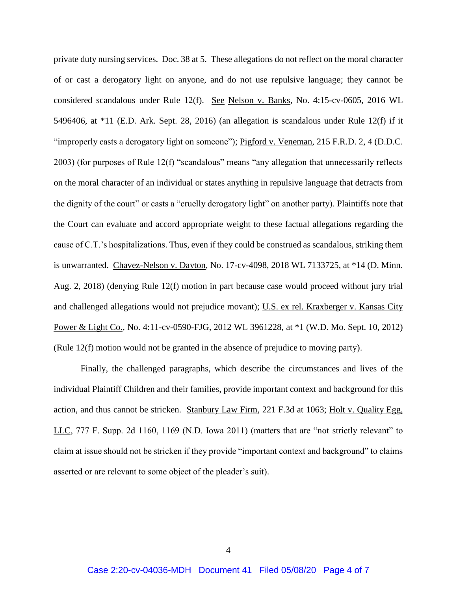private duty nursing services. Doc. 38 at 5. These allegations do not reflect on the moral character of or cast a derogatory light on anyone, and do not use repulsive language; they cannot be considered scandalous under Rule 12(f). See Nelson v. Banks, No. 4:15-cv-0605, 2016 WL 5496406, at \*11 (E.D. Ark. Sept. 28, 2016) (an allegation is scandalous under Rule 12(f) if it "improperly casts a derogatory light on someone"); Pigford v. Veneman, 215 F.R.D. 2, 4 (D.D.C. 2003) (for purposes of Rule 12(f) "scandalous" means "any allegation that unnecessarily reflects on the moral character of an individual or states anything in repulsive language that detracts from the dignity of the court" or casts a "cruelly derogatory light" on another party). Plaintiffs note that the Court can evaluate and accord appropriate weight to these factual allegations regarding the cause of C.T.'s hospitalizations. Thus, even if they could be construed as scandalous, striking them is unwarranted. Chavez-Nelson v. Dayton, No. 17-cv-4098, 2018 WL 7133725, at \*14 (D. Minn. Aug. 2, 2018) (denying Rule 12(f) motion in part because case would proceed without jury trial and challenged allegations would not prejudice movant); U.S. ex rel. Kraxberger v. Kansas City Power & Light Co., No. 4:11-cv-0590-FJG, 2012 WL 3961228, at \*1 (W.D. Mo. Sept. 10, 2012) (Rule 12(f) motion would not be granted in the absence of prejudice to moving party).

Finally, the challenged paragraphs, which describe the circumstances and lives of the individual Plaintiff Children and their families, provide important context and background for this action, and thus cannot be stricken. Stanbury Law Firm, 221 F.3d at 1063; Holt v. Quality Egg, LLC, 777 F. Supp. 2d 1160, 1169 (N.D. Iowa 2011) (matters that are "not strictly relevant" to claim at issue should not be stricken if they provide "important context and background" to claims asserted or are relevant to some object of the pleader's suit).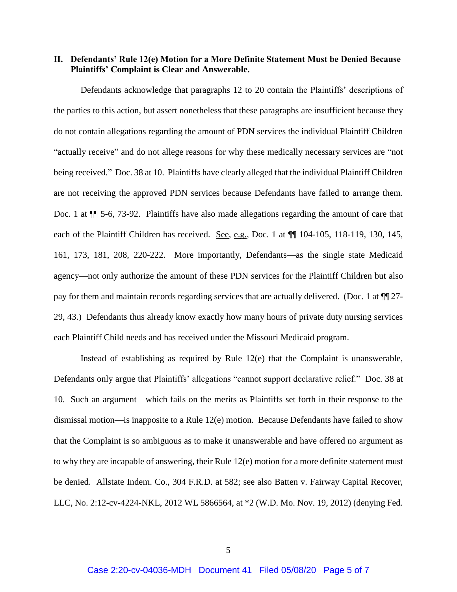### **II. Defendants' Rule 12(e) Motion for a More Definite Statement Must be Denied Because Plaintiffs' Complaint is Clear and Answerable.**

Defendants acknowledge that paragraphs 12 to 20 contain the Plaintiffs' descriptions of the parties to this action, but assert nonetheless that these paragraphs are insufficient because they do not contain allegations regarding the amount of PDN services the individual Plaintiff Children "actually receive" and do not allege reasons for why these medically necessary services are "not being received." Doc. 38 at 10. Plaintiffs have clearly alleged that the individual Plaintiff Children are not receiving the approved PDN services because Defendants have failed to arrange them. Doc. 1 at  $\P$  5-6, 73-92. Plaintiffs have also made allegations regarding the amount of care that each of the Plaintiff Children has received. See, e.g., Doc. 1 at  $\P$  104-105, 118-119, 130, 145, 161, 173, 181, 208, 220-222. More importantly, Defendants—as the single state Medicaid agency—not only authorize the amount of these PDN services for the Plaintiff Children but also pay for them and maintain records regarding services that are actually delivered. (Doc. 1 at ¶¶ 27- 29, 43.) Defendants thus already know exactly how many hours of private duty nursing services each Plaintiff Child needs and has received under the Missouri Medicaid program.

Instead of establishing as required by Rule 12(e) that the Complaint is unanswerable, Defendants only argue that Plaintiffs' allegations "cannot support declarative relief." Doc. 38 at 10. Such an argument—which fails on the merits as Plaintiffs set forth in their response to the dismissal motion—is inapposite to a Rule 12(e) motion. Because Defendants have failed to show that the Complaint is so ambiguous as to make it unanswerable and have offered no argument as to why they are incapable of answering, their Rule 12(e) motion for a more definite statement must be denied. Allstate Indem. Co., 304 F.R.D. at 582; see also Batten v. Fairway Capital Recover, LLC, No. 2:12-cv-4224-NKL, 2012 WL 5866564, at \*2 (W.D. Mo. Nov. 19, 2012) (denying Fed.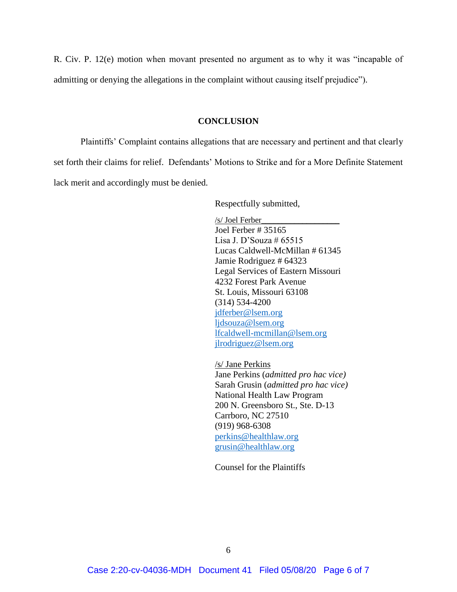R. Civ. P. 12(e) motion when movant presented no argument as to why it was "incapable of admitting or denying the allegations in the complaint without causing itself prejudice").

#### **CONCLUSION**

Plaintiffs' Complaint contains allegations that are necessary and pertinent and that clearly set forth their claims for relief. Defendants' Motions to Strike and for a More Definite Statement lack merit and accordingly must be denied.

Respectfully submitted,

/s/ Joel Ferber\_\_\_\_\_\_\_\_\_\_\_\_\_\_\_\_\_\_\_ Joel Ferber # 35165 Lisa J. D'Souza #  $65515$ Lucas Caldwell-McMillan # 61345 Jamie Rodriguez # 64323 Legal Services of Eastern Missouri 4232 Forest Park Avenue St. Louis, Missouri 63108 (314) 534-4200 [jdferber@lsem.org](mailto:jdferber@lsem.org) [ljdsouza@lsem.org](mailto:ljdsouza@lsem.org) [lfcaldwell-mcmillan@lsem.org](mailto:lfcaldwell-mcmillan@lsem.org) [jlrodriguez@lsem.org](mailto:jlrodriguez@lsem.org)

/s/ Jane Perkins Jane Perkins (*admitted pro hac vice)* Sarah Grusin (*admitted pro hac vice)* National Health Law Program 200 N. Greensboro St., Ste. D-13 Carrboro, NC 27510 (919) 968-6308 [perkins@healthlaw.org](mailto:perkins@healthlaw.org) [grusin@healthlaw.org](mailto:grusin@healthlaw.org)

Counsel for the Plaintiffs